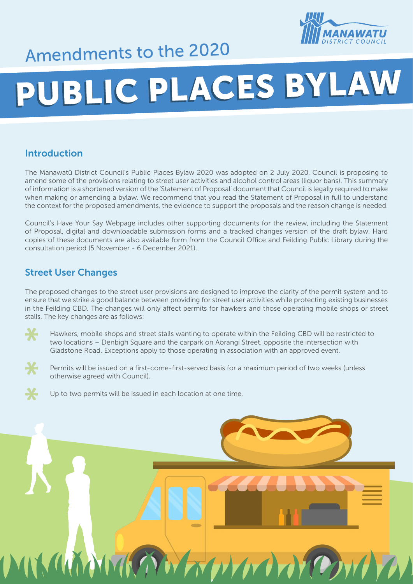

## Amendments to the 2020

# PUBLIC PLACES BYLAW

#### Introduction

The Manawatū District Council's Public Places Bylaw 2020 was adopted on 2 July 2020. Council is proposing to amend some of the provisions relating to street user activities and alcohol control areas (liquor bans). This summary of information is a shortened version of the 'Statement of Proposal' document that Council is legally required to make when making or amending a bylaw. We recommend that you read the Statement of Proposal in full to understand the context for the proposed amendments, the evidence to support the proposals and the reason change is needed.

Council's Have Your Say Webpage includes other supporting documents for the review, including the Statement of Proposal, digital and downloadable submission forms and a tracked changes version of the draft bylaw. Hard copies of these documents are also available form from the Council Office and Feilding Public Library during the consultation period (5 November - 6 December 2021).

#### Street User Changes

The proposed changes to the street user provisions are designed to improve the clarity of the permit system and to ensure that we strike a good balance between providing for street user activities while protecting existing businesses in the Feilding CBD. The changes will only affect permits for hawkers and those operating mobile shops or street stalls. The key changes are as follows:

- Hawkers, mobile shops and street stalls wanting to operate within the Feilding CBD will be restricted to two locations – Denbigh Square and the carpark on Aorangi Street, opposite the intersection with Gladstone Road. Exceptions apply to those operating in association with an approved event.
- Permits will be issued on a first-come-first-served basis for a maximum period of two weeks (unless otherwise agreed with Council).